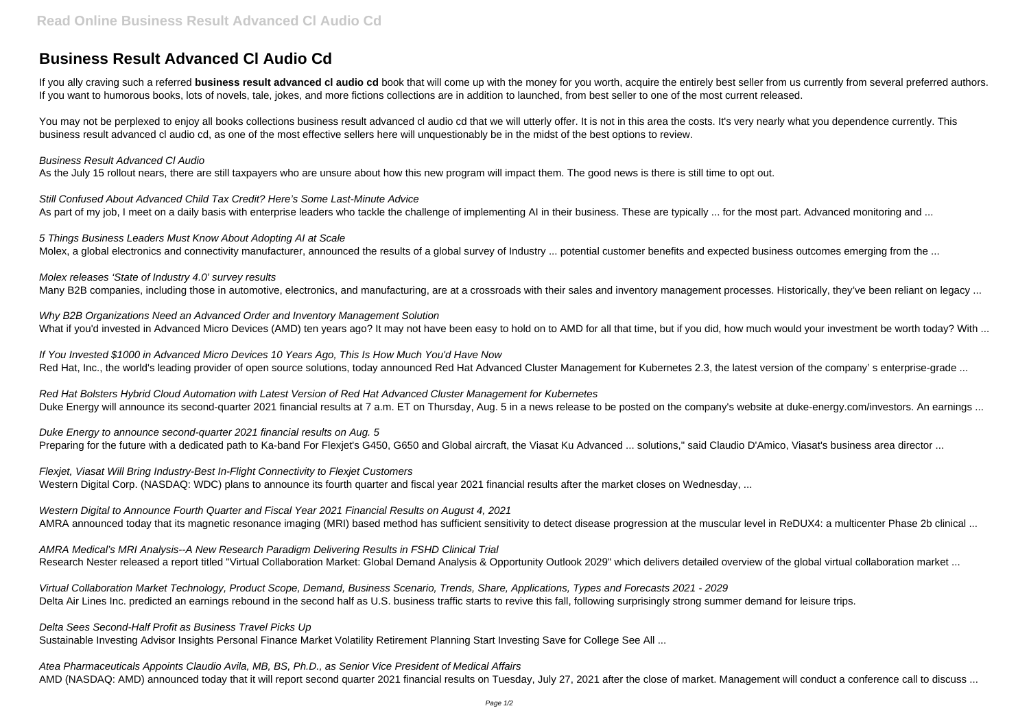## **Business Result Advanced Cl Audio Cd**

If you ally craving such a referred **business result advanced cl audio cd** book that will come up with the money for you worth, acquire the entirely best seller from us currently from several preferred authors. If you want to humorous books, lots of novels, tale, jokes, and more fictions collections are in addition to launched, from best seller to one of the most current released.

You may not be perplexed to enjoy all books collections business result advanced cl audio cd that we will utterly offer. It is not in this area the costs. It's very nearly what you dependence currently. This business result advanced cl audio cd, as one of the most effective sellers here will unquestionably be in the midst of the best options to review.

Still Confused About Advanced Child Tax Credit? Here's Some Last-Minute Advice As part of my job, I meet on a daily basis with enterprise leaders who tackle the challenge of implementing AI in their business. These are typically ... for the most part. Advanced monitoring and ...

5 Things Business Leaders Must Know About Adopting AI at Scale Molex, a global electronics and connectivity manufacturer, announced the results of a global survey of Industry ... potential customer benefits and expected business outcomes emerging from the ...

## Business Result Advanced Cl Audio

Why B2B Organizations Need an Advanced Order and Inventory Management Solution What if you'd invested in Advanced Micro Devices (AMD) ten years ago? It may not have been easy to hold on to AMD for all that time, but if you did, how much would your investment be worth today? With ...

As the July 15 rollout nears, there are still taxpayers who are unsure about how this new program will impact them. The good news is there is still time to opt out.

If You Invested \$1000 in Advanced Micro Devices 10 Years Ago, This Is How Much You'd Have Now Red Hat, Inc., the world's leading provider of open source solutions, today announced Red Hat Advanced Cluster Management for Kubernetes 2.3, the latest version of the company' s enterprise-grade ...

Red Hat Bolsters Hybrid Cloud Automation with Latest Version of Red Hat Advanced Cluster Management for Kubernetes Duke Energy will announce its second-quarter 2021 financial results at 7 a.m. ET on Thursday, Aug. 5 in a news release to be posted on the company's website at duke-energy.com/investors. An earnings ...

Duke Energy to announce second-quarter 2021 financial results on Aug. 5 Preparing for the future with a dedicated path to Ka-band For Flexjet's G450, G650 and Global aircraft, the Viasat Ku Advanced ... solutions," said Claudio D'Amico, Viasat's business area director ...

Flexjet, Viasat Will Bring Industry-Best In-Flight Connectivity to Flexjet Customers Western Digital Corp. (NASDAQ: WDC) plans to announce its fourth quarter and fiscal year 2021 financial results after the market closes on Wednesday, ...

Molex releases 'State of Industry 4.0' survey results

Many B2B companies, including those in automotive, electronics, and manufacturing, are at a crossroads with their sales and inventory management processes. Historically, they've been reliant on legacy ...

Western Digital to Announce Fourth Quarter and Fiscal Year 2021 Financial Results on August 4, 2021 AMRA announced today that its magnetic resonance imaging (MRI) based method has sufficient sensitivity to detect disease progression at the muscular level in ReDUX4: a multicenter Phase 2b clinical ...

AMRA Medical's MRI Analysis--A New Research Paradigm Delivering Results in FSHD Clinical Trial Research Nester released a report titled "Virtual Collaboration Market: Global Demand Analysis & Opportunity Outlook 2029" which delivers detailed overview of the global virtual collaboration market ...

Virtual Collaboration Market Technology, Product Scope, Demand, Business Scenario, Trends, Share, Applications, Types and Forecasts 2021 - 2029 Delta Air Lines Inc. predicted an earnings rebound in the second half as U.S. business traffic starts to revive this fall, following surprisingly strong summer demand for leisure trips.

Delta Sees Second-Half Profit as Business Travel Picks Up Sustainable Investing Advisor Insights Personal Finance Market Volatility Retirement Planning Start Investing Save for College See All ...

Atea Pharmaceuticals Appoints Claudio Avila, MB, BS, Ph.D., as Senior Vice President of Medical Affairs AMD (NASDAQ: AMD) announced today that it will report second quarter 2021 financial results on Tuesday, July 27, 2021 after the close of market. Management will conduct a conference call to discuss ...